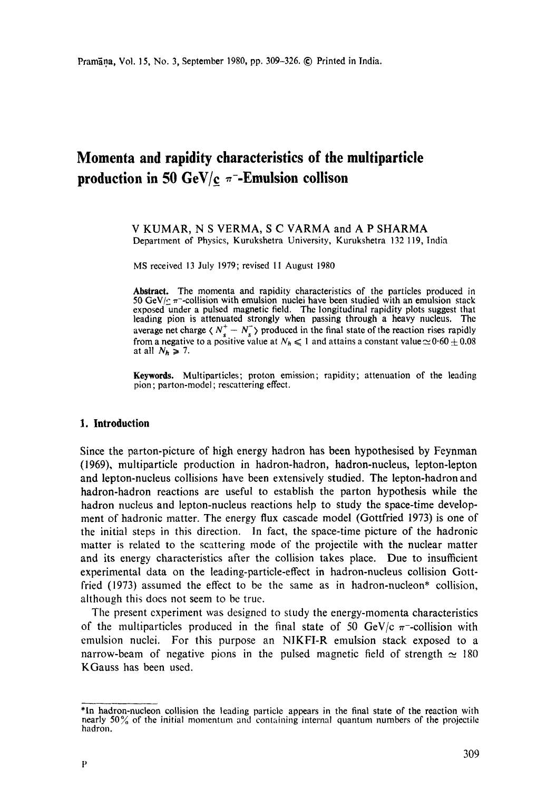# **Momenta and rapidity characteristics of the multiparticle production in 50**  $\text{GeV/c}$  $\pi$ **-Emulsion collison**

#### V KUMAR, N S VERMA, S C VARMA and A P SHARMA Department of Physics, Kurukshetra University, Kurukshetra 132119, India

MS received 13 July 1979; revised 11 August 1980

**Abstract.** The momenta and rapidity characteristics of the particles produced in 50 GeV/ $\epsilon$   $\pi$ -collision with emulsion nuclei have been studied with an emulsion stack exposed under a pulsed magnetic field. The longitudinal rapidity plots suggest that leading pion is attenuated strongly when passing through a heavy nucleus. The average net charge  $\langle N_s^+ - N_s^- \rangle$  produced in the final state of the reaction rises rapidly from a negative to a positive value at  $N_h \le 1$  and attains a constant value  $\approx 0.60 \pm 0.08$ at all  $N_h \geq 7$ .

**Keywords.** Multiparticles; proton emission; rapidity; attenuation of the leading pion; parton-model ; rescattering effect.

#### **1. Introduction**

Since the parton-picture of high energy hadron has been hypothesised by Feynman (1969), multiparticle production in hadron-hadron, hadron-nucleus, lepton-lepton and lepton-nucleus collisions have been extensively studied. The lepton-hadron and hadron-hadron reactions are useful to establish the parton hypothesis while the hadron nucleus and lepton-nucleus reactions help to study the space-time development of hadronic matter. The energy flux cascade model (Gottfried 1973) is one of the initial steps in this direction. In fact, the space-time picture of the hadronic matter is related to the scattering mode of the projectile with the nuclear matter and its energy characteristics after the collision takes place. Due to insufficient experimental data on the leading-particle-effect in hadron-nucleus collision Gottfried (1973) assumed the effect to be the same as in hadron-nucleon\* collision, although this does not seem to be true.

The present experiment was designed to study the energy-momenta characteristics of the multiparticles produced in the final state of 50 GeV/c  $\pi$ -collision with emulsion nuclei. For this purpose an NIKFI-R emulsion stack exposed to a narrow-beam of negative pions in the pulsed magnetic field of strength  $\simeq$  180 KGauss has been used.

<sup>\*</sup>In hadron-nucleon collision the leading particle appears in the final state ot" the reaction with nearly 50% of the initial momentum and containing internal quantum numbers of the projectile hadron.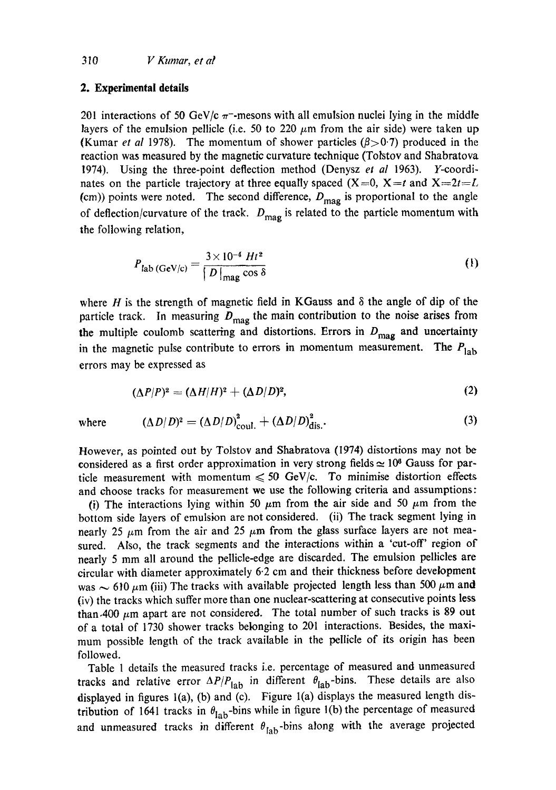## 310 *V Kumar, et al*

#### **2. Experimental details**

201 interactions of 50 GeV/c  $\pi$ -mesons with all emulsion nuclei lying in the middle layers of the emulsion pellicle (i.e. 50 to 220  $\mu$ m from the air side) were taken up (Kumar *et al* 1978). The momentum of shower particles  $(\beta > 0.7)$  produced in the reaction was measured by the magnetic curvature technique (Totstov and Shabratova 1974). Using the three-point deflection method (Denysz *et al* 1963). Y-coordinates on the particle trajectory at three equally spaced  $(X=0, X=t \text{ and } X=2t=L$ (cm)) points were noted. The second difference,  $D_{\text{mag}}$  is proportional to the angle of deflection/curvature of the track.  $D_{\text{mag}}$  is related to the particle momentum with the following relation,

$$
P_{\text{lab (GeV/c)}} = \frac{3 \times 10^{-4} \text{ Ht}^2}{\left| D \right|_{\text{mag}} \cos \delta} \tag{1}
$$

where H is the strength of magnetic field in KGauss and  $\delta$  the angle of dip of the particle track. In measuring  $D_{\text{mag}}$  the main contribution to the noise arises from the multiple coulomb scattering and distortions. Errors in  $D_{\text{mag}}$  and uncertainty in the magnetic pulse contribute to errors in momentum measurement. The  $P_{\text{lab}}$ errors may be expressed as

$$
(\Delta P/P)^2 = (\Delta H/H)^2 + (\Delta D/D)^2, \qquad (2)
$$

where 
$$
(\Delta D/D)^2 = (\Delta D/D)_{\text{coul.}}^2 + (\Delta D/D)_{\text{dis.}}^2.
$$
 (3)

However, as pointed out by Tolstov and Shabratova (1974) distortions may not be considered as a first order approximation in very strong fields  $\simeq 10^8$  Gauss for particle measurement with momentum  $\leq 50$  GeV/c. To minimise distortion effects and choose tracks for measurement we use the following criteria and assumptions:

(i) The interactions lying within 50  $\mu$ m from the air side and 50  $\mu$ m from the bottom side layers of emulsion are not considered. (ii) The track segment lying in nearly 25  $\mu$ m from the air and 25  $\mu$ m from the glass surface layers are not measured. Also, the track segments and the interactions within a 'cut-off' region of nearly 5 mm all around the pellicle-edge are discarded. The emulsion pellicles are circular with diameter approximately 6.2 cm and their thickness before development was  $\sim$  610  $\mu$ m (iii) The tracks with available projected length less than 500  $\mu$ m and (iv) the tracks which suffer more than one nuclear-scattering at consecutive points less than.400  $\mu$ m apart are not considered. The total number of such tracks is 89 out of a total of 1730 shower tracks belonging to 201 interactions. Besides, the maximum possible length of the track available in the pellicle of its origin has been followed.

Table 1 details the measured tracks i.e. percentage of measured and unmeasured tracks and relative error  $\Delta P/P_{\text{lab}}$  in different  $\theta_{\text{lab}}$ -bins. These details are also displayed in figures  $1(a)$ , (b) and (c). Figure  $1(a)$  displays the measured length distribution of 1641 tracks in  $\theta_{lab}$ -bins while in figure 1(b) the percentage of measured and unmeasured tracks in different  $\theta_{lab}$ -bins along with the average projected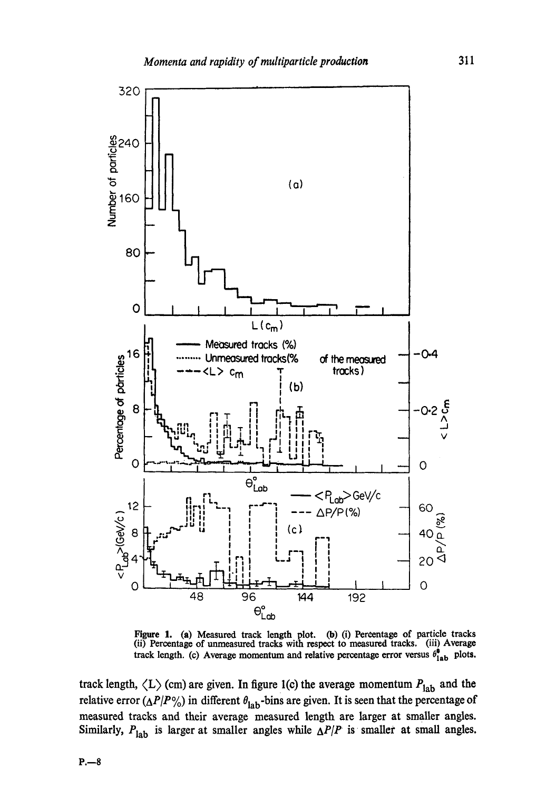

Figure 1. (a) Measured track length plot. (b) (i) Percentage of particle tracks (ii) Percentage of unmeasured tracks with respect to measured tracks. (iii) Average track length. (c) Average momentum and relative percentage error versus  $\theta_{lab}^{\phi}$  plots.

track length,  $\langle L \rangle$  (cm) are given. In figure 1(c) the average momentum  $P_{\text{lab}}$  and the relative error  $(\Delta P/P)$ %) in different  $\theta_{\rm lab}$ -bins are given. It is seen that the percentage of measured tracks and their average measured length are larger at smaller angles. Similarly,  $P_{\text{lab}}$  is larger at smaller angles while  $\Delta P/P$  is smaller at small angles.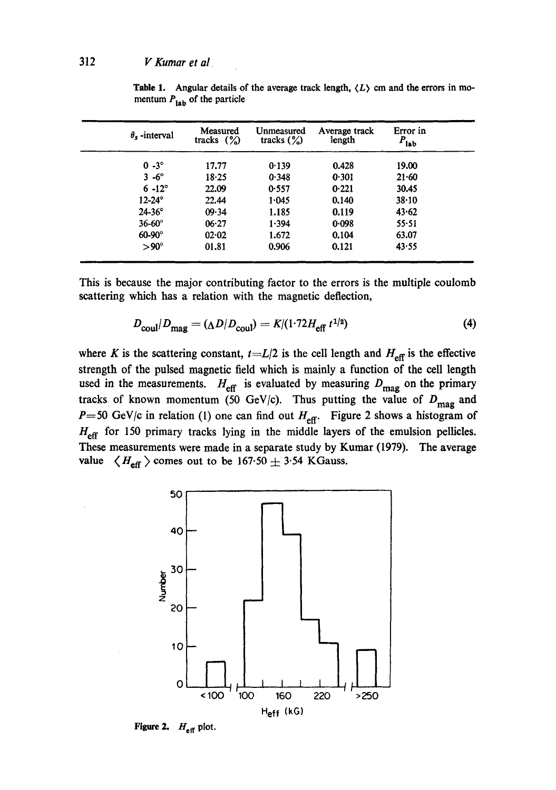| $\theta_{\rm s}$ -interval | Measured<br>tracks $(\%)$ | Unmeasured<br>tracks $(\%)$ | Average track<br>length | Error in<br>$P_{\rm lab}$ |
|----------------------------|---------------------------|-----------------------------|-------------------------|---------------------------|
| $0 - 3^\circ$              | 17.77                     | 0.139                       | 0.428                   | 19.00                     |
| $3 - 6^\circ$              | $18 - 25$                 | 0.348                       | 0.301                   | $21 - 60$                 |
| $6 - 12^{\circ}$           | 22.09                     | 0.557                       | 0.221                   | 30.45                     |
| $12 - 24^{\circ}$          | 22.44                     | 1.045                       | 0.140                   | 38.10                     |
| $24 - 36^{\circ}$          | 09.34                     | 1.185                       | 0.119                   | 43.62                     |
| $36-60^\circ$              | 06.27                     | 1.394                       | 0.098                   | $55 - 51$                 |
| $60-90^\circ$              | 02.02                     | 1.672                       | 0.104                   | 63.07                     |
| $>90^{\circ}$              | 01.81                     | 0.906                       | 0.121                   | 43.55                     |

**Table 1.** Angular details of the average track length,  $\langle L \rangle$  cm and the errors in momentum  $P_{\text{lab}}$  of the particle

This is because the major contributing factor to the errors is the multiple coulomb scattering which has a relation with the magnetic deflection,

$$
D_{\text{coul}}/D_{\text{mag}} = (\Delta D/D_{\text{coul}}) = K/(1.72H_{\text{eff}}t^{1/2})
$$
(4)

where K is the scattering constant,  $t=L/2$  is the cell length and  $H_{\text{eff}}$  is the effective strength of the pulsed magnetic field which is mainly a function of the cell length used in the measurements.  $H_{\text{eff}}$  is evaluated by measuring  $D_{\text{mag}}$  on the primary tracks of known momentum (50 GeV/c). Thus putting the value of  $D_{\text{mag}}$  and  $P=50$  GeV/c in relation (1) one can find out  $H_{\text{eff}}$ . Figure 2 shows a histogram of  $H_{\text{eff}}$  for 150 primary tracks lying in the middle layers of the emulsion pellicles. These measurements were made in a separate study by Kumar (1979). The average value  $\langle H_{\text{eff}} \rangle$  comes out to be 167.50  $\pm$  3.54 KGauss.



**Figure 2.**  $H_{\text{eff}}$  plot.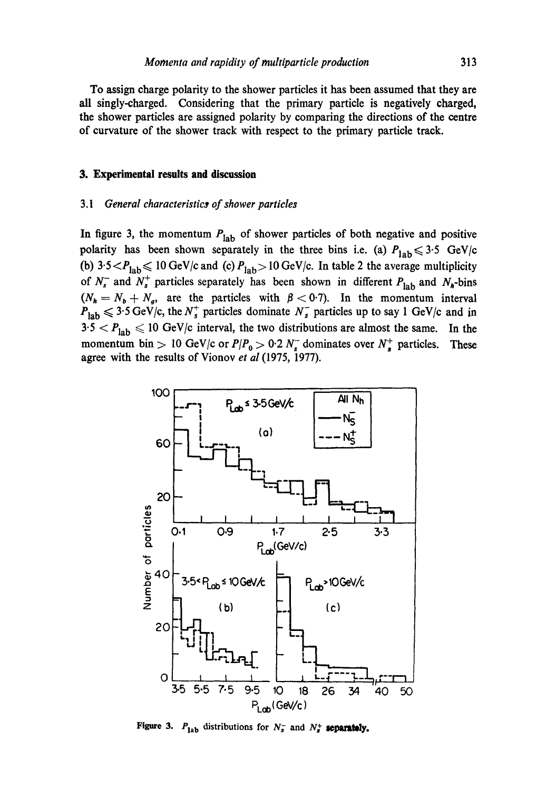To assign charge polarity to the shower particles it has been assumed that they are all singly-charged. Considering that the primary particle is negatively charged, the shower particles are assigned polarity by comparing the directions of the centre of curvature of the shower track with respect to the primary particle track.

#### **3. Experimental results and discussion**

### *3.1 General characteristic~ of shower particles*

In figure 3, the momentum  $P_{lab}$  of shower particles of both negative and positive polarity has been shown separately in the three bins i.e. (a)  $P_{lab} \leq 3.5$  GeV/c (b)  $3.5 < P_{\text{lab}} \leq 10 \text{ GeV/c}$  and (c)  $P_{\text{lab}} > 10 \text{ GeV/c}$ . In table 2 the average multiplicity of  $N_s^-$  and  $N_s^+$  particles separately has been shown in different  $P_{\text{lab}}$  and  $N_h$ -bins  $(N_h = N_b + N_g)$ , are the particles with  $\beta < 0.7$ ). In the momentum interval  $P_{\text{lab}} \leq 3.5 \,\text{GeV/c}$ , the  $N_s^+$  particles dominate  $N_s^-$  particles up to say 1 GeV/c and in  $3.5 < P_{\rm lab} \leq 10$  GeV/c interval, the two distributions are almost the same. In the momentum bin > 10 GeV/c or  $P/P_0 > 0.2 N_s$  dominates over  $N_s^+$  particles. These agree with the results of Vionov *et al* (1975, 1977).



Figure 3.  $P_{1ab}$  distributions for  $N_s^-$  and  $N_s^+$  separately.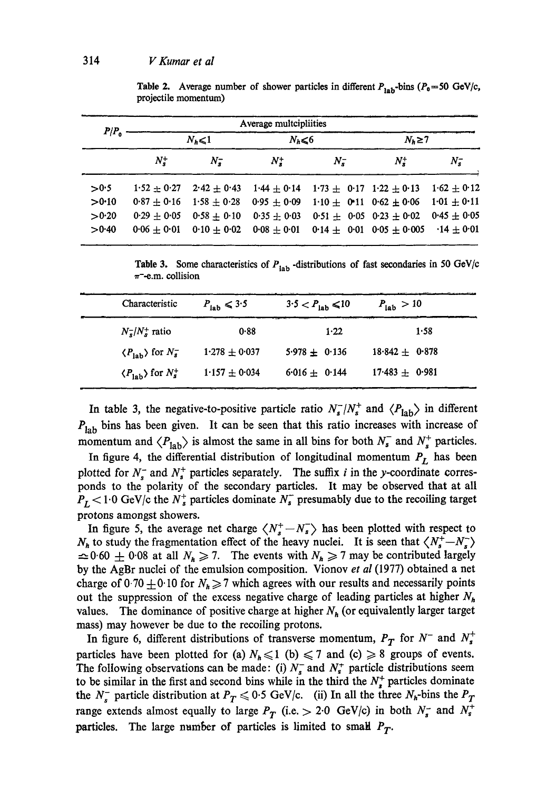|           |                 |                 | Average multcipliities |                                  |                 |                 |
|-----------|-----------------|-----------------|------------------------|----------------------------------|-----------------|-----------------|
| $P/P_{o}$ |                 | $N_h \leq 1$    | $N_h \leq 6$           |                                  | $N_k \geq 7$    |                 |
|           | $N_{\bullet}^+$ | $N_{\bullet}^-$ | $N_z^+$                | $N_{\rm c}^-$                    | $N_{\bullet}^+$ | $N_{\tau}^-$    |
| >0.5      | $1.52 + 0.27$   | $2.42 + 0.43$   | $1.44 \pm 0.14$        | $1.73 \pm 0.17$ $1.22 \pm 0.13$  |                 | $1.62 \pm 0.12$ |
| >0.10     | $0.87 + 0.16$   | $1.58 + 0.28$   | $0.95 + 0.09$          | $1.10 \pm 0.11$ 0.62 $\pm 0.06$  |                 | $1.01 + 0.11$   |
| >0.20     | $0.29 + 0.05$   | $0.58 + 0.10$   | $0.35 + 0.03$          | $0.51 + 0.05$ $0.23 + 0.02$      |                 | $0.45 \pm 0.05$ |
| >0.40     | $0.06 + 0.01$   | $0.10 + 0.02$   | $0.08 + 0.01$          | 0.14 $\pm$ 0.01 0.05 $\pm$ 0.005 |                 | $-14 + 0.01$    |

Table 2. Average number of shower particles in different  $P_{\text{lab}}$ -bins ( $P_0 = 50$  GeV/c, projectile momentum)

Table 3. Some characteristics of  $P_{\text{lab}}$  -distributions of fast secondaries in 50 GeV/c  $\pi$ -e.m. collision

| Characteristic                               | $P_{\text{lab}} \leq 3.5$ | $3.5 < P_{\text{lab}} \le 10$ | $P_{\text{lab}} > 10$ |
|----------------------------------------------|---------------------------|-------------------------------|-----------------------|
| $N_s^{\dagger}/N_s^{\dagger}$ ratio          | 0.88                      | 1.22                          | 1.58                  |
| $\langle P_{\text{lab}} \rangle$ for $N_s^-$ | $1.278 \pm 0.037$         | $5.978 \pm 0.136$             | $18.842 \pm 0.878$    |
| $\langle P_{\text{lab}} \rangle$ for $N_s^+$ | $1.157 \pm 0.034$         | $6.016 + 0.144$               | $17.483 \pm 0.981$    |

In table 3, the negative-to-positive particle ratio  $N_s^-/N_s^+$  and  $\langle P_{\text{lab}} \rangle$  in different  $P_{lab}$  bins has been given. It can be seen that this ratio increases with increase of momentum and  $\langle P_{\text{lab}} \rangle$  is almost the same in all bins for both  $N_s^-$  and  $N_s^+$  particles.

In figure 4, the differential distribution of longitudinal momentum  $P_L$  has been plotted for  $N_s^-$  and  $N_s^+$  particles separately. The suffix i in the y-coordinate corresponds to the polarity of the secondary particles. It may be observed that at all  $P_L$  < 1.0 GeV/c the  $N_s^+$  particles dominate  $N_s^-$  presumably due to the recoiling target protons amongst showers.

In figure 5, the average net charge  $\langle N_s^+ - N_s^- \rangle$  has been plotted with respect to  $N_h$  to study the fragmentation effect of the heavy nuclei. It is seen that  $\langle N_s^+ - N_s^- \rangle$  $\approx 0.60 \pm 0.08$  at all  $N_h \ge 7$ . The events with  $N_h \ge 7$  may be contributed largely by the AgBr nuclei of the emulsion composition. Vionov *et al* (1977) obtained a net charge of 0.70  $\pm$  0.10 for  $N_h \ge 7$  which agrees with our results and necessarily points out the suppression of the excess negative charge of leading particles at higher  $N_h$ values. The dominance of positive charge at higher  $N_h$  (or equivalently larger target mass) may however be due to the recoiling protons.

In figure 6, different distributions of transverse momentum,  $P_T$  for  $N^-$  and  $N_s^+$ particles have been plotted for (a)  $N_h \le 1$  (b)  $\le 7$  and (c)  $\ge 8$  groups of events. The following observations can be made: (i)  $N_s^-$  and  $N_s^+$  particle distributions seem to be similar in the first and second bins while in the third the  $N_s^+$  particles dominate the  $N_s^-$  particle distribution at  $P_T \le 0.5$  GeV/c. (ii) In all the three  $N_h$ -bins the  $P_T$ range extends almost equally to large  $P_T$  (i.e.  $> 2.0$  GeV/c) in both  $N_s^-$  and  $N_s^+$ particles. The large number of particles is limited to small  $P_T$ .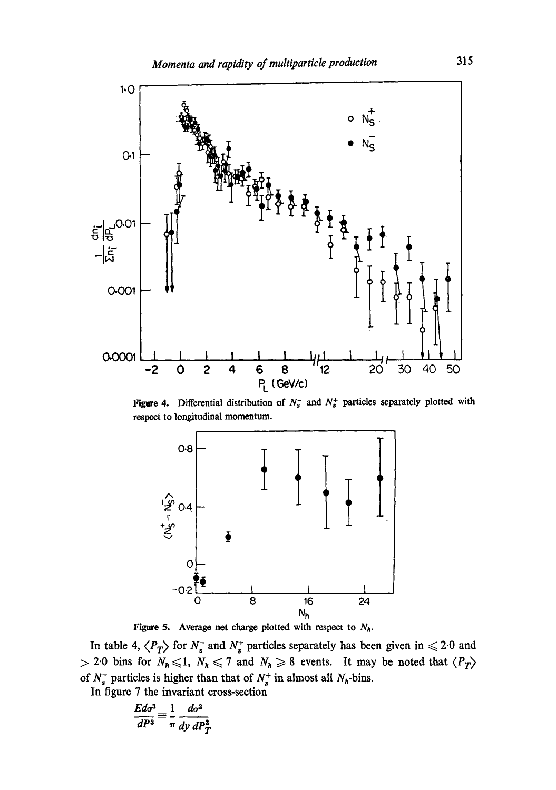

**Figure 4.** Differential distribution of  $N_s^-$  and  $N_s^+$  particles separately plotted with respect to longitudinal momentum.



Figure 5. Average net charge plotted with respect to  $N_h$ .

In table 4,  $\langle P_T \rangle$  for  $N_s^-$  and  $N_s^+$  particles separately has been given in  $\leq 2.0$  and  $> 2.0$  bins for  $N_h \le 1$ ,  $N_h \le 7$  and  $N_h \ge 8$  events. It may be noted that  $\langle P_T \rangle$ of  $N_s^-$  particles is higher than that of  $N_s^+$  in almost all  $N_h$ -bins.

In figure 7 the invariant cross-section

$$
\frac{Ed\sigma^3}{dP^3} \equiv \frac{1}{\pi} \frac{d\sigma^2}{dy \, dP_T^2}
$$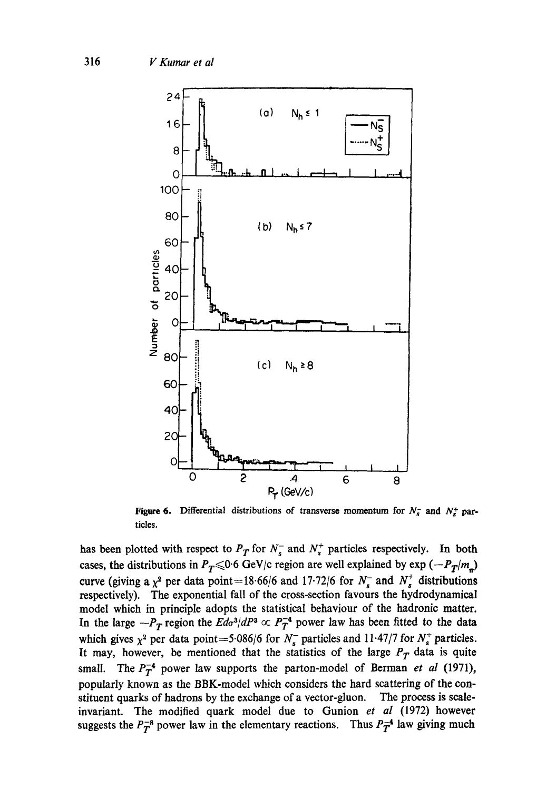

Figure 6. Differential distributions of transverse momentum for  $N_s^-$  and  $N_s^+$  particles.

has been plotted with respect to  $P_T$  for  $N_s^-$  and  $N_s^+$  particles respectively. In both cases, the distributions in  $P_T \le 0.6$  GeV/c region are well explained by exp  $(-P_T/m_p)$ curve (giving a  $\chi^2$  per data point=18.66/6 and 17.72/6 for  $N_s^-$  and  $N_s^+$  distributions respectively). The exponential fall of the cross-section favours the hydrodynamical model which in principle adopts the statistical behaviour of the hadronic matter. In the large  $-P_T$  region the  $Ed\sigma^3/dP^3 \propto P_T^{-4}$  power law has been fitted to the data which gives  $\chi^2$  per data point = 5.086/6 for  $N_s^-$  particles and 11.47/7 for  $N_s^+$  particles. It may, however, be mentioned that the statistics of the large  $P_T$  data is quite small. The  $P_T^{-4}$  power law supports the parton-model of Berman *et al* (1971), popularly known as the *BBK-model* which considers the hard scattering of the constituent quarks of hadrons by the exchange of a vector-gluon. The process is scaleinvariant. The modified quark model due to Gunion *et al* (1972) however suggests the  $P_T^{-8}$  power law in the elementary reactions. Thus  $P_T^{-4}$  law giving much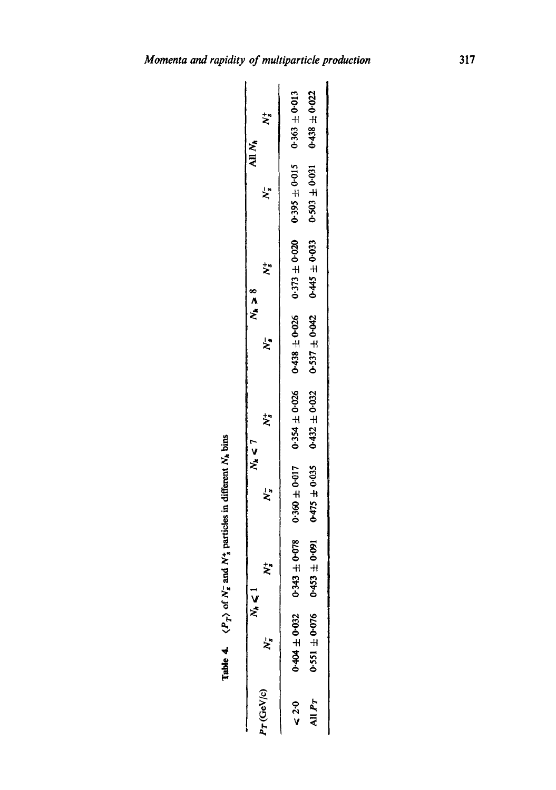| All N <sub>h</sub>                                                                                                                                                                                                             | Ż,                      | $0.363 + 0.013$              | 0.438 $\pm$ 0.022       |
|--------------------------------------------------------------------------------------------------------------------------------------------------------------------------------------------------------------------------------|-------------------------|------------------------------|-------------------------|
|                                                                                                                                                                                                                                | Ļ.                      | $0.395 \pm 0.015$            | $0.503 + 0.031$         |
| $N_{\star} > 8$                                                                                                                                                                                                                | Ż,                      | $0.373 \pm 0.020$            | $0.445 \pm 0.033$       |
|                                                                                                                                                                                                                                | $\zeta$                 | $0.438 \pm 0.026$            | $0.537 \pm 0.042$       |
| $N_h < 7$                                                                                                                                                                                                                      | ざ                       | $0.354 \pm 0.026$            | $0.432 \pm 0.032$       |
| of the community of the community of the community of the community of the community of the community of the community of the community of the community of the community of the community of the community of the community o | $\overline{\mathbf{X}}$ | $0.360 \pm 0.017$            | $0.475 \pm 0.035$       |
| $N_{h} \leqslant 1$                                                                                                                                                                                                            | ₹,                      | $40 - 0.8$                   | ±0.091                  |
|                                                                                                                                                                                                                                | ż,                      | $0.404 \pm 0.032$ 0.50-0.343 | $0.551 \pm 0.076$ 0.453 |
|                                                                                                                                                                                                                                | $Pr$ (GeV/c)            | $\leq 2.0$                   | All P <sub>T</sub>      |

Table 4.  $\langle P_T \rangle$  of  $N_s^-$  and  $N_s^+$  particles in different  $N_h$  bins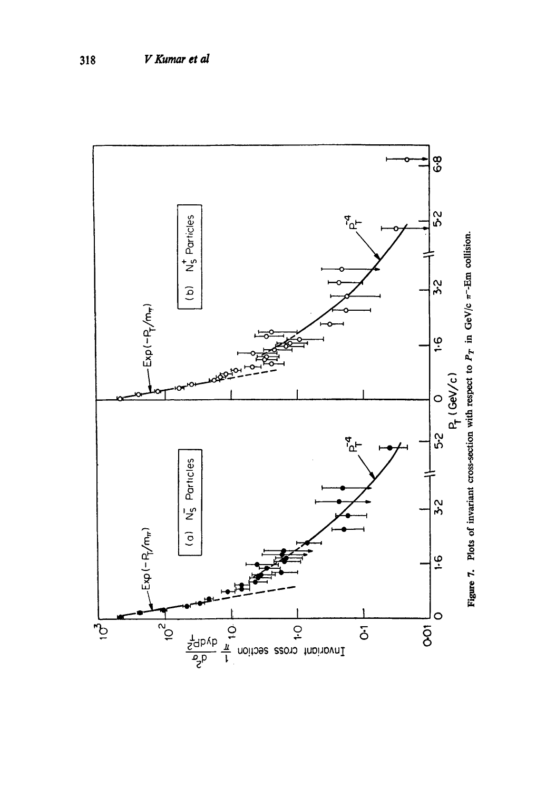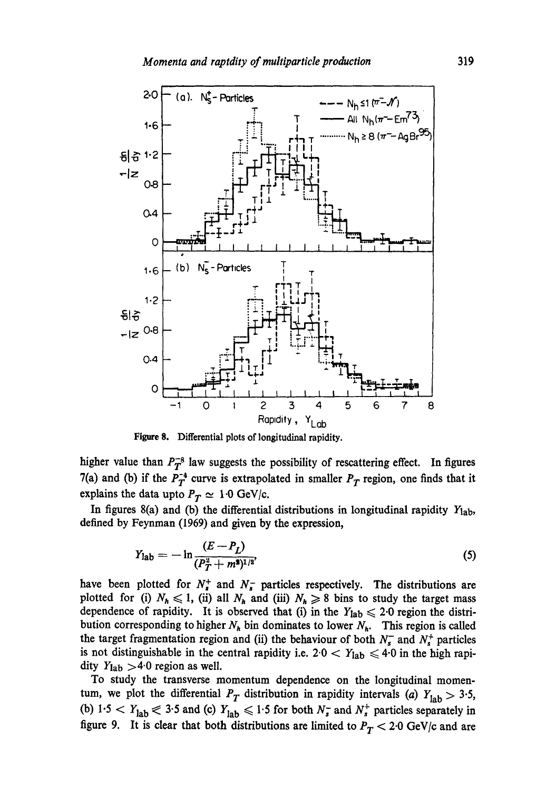

Figure 8. Differential plots of longitudinal rapidity.

higher value than  $P_T^{-8}$  law suggests the possibility of rescattering effect. In figures 7(a) and (b) if the  $P_T^{-4}$  curve is extrapolated in smaller  $P_T$  region, one finds that it explains the data upto  $P_T \simeq 1.0$  GeV/c.

In figures  $8(a)$  and (b) the differential distributions in longitudinal rapidity  $Y_{1ab}$ , defined by Feynman (1969) and given by the expression,

$$
Y_{\rm lab} = -\ln \frac{(E - P_L)}{(P_T^2 + m^2)^{1/2}},\tag{5}
$$

have been plotted for  $N_s^+$  and  $N_s^-$  particles respectively. The distributions are plotted for (i)  $N_h \le 1$ , (ii) all  $N_h$  and (iii)  $N_h \ge 8$  bins to study the target mass dependence of rapidity. It is observed that (i) in the  $Y_{\text{lab}} \leq 2.0$  region the distribution corresponding to higher  $N_h$  bin dominates to lower  $N_h$ . This region is called the target fragmentation region and (ii) the behaviour of both  $N_s^-$  and  $N_s^+$  particles is not distinguishable in the central rapidity i.e.  $2.0 < Y_{lab} \leq 4.0$  in the high rapidity  $Y_{\text{lab}} > 4.0$  region as well.

To study the transverse momentum dependence on the longitudinal momentum, we plot the differential  $P_T$  distribution in rapidity intervals (a)  $Y_{lab} > 3.5$ , (b)  $1.5 < Y_{lab} \le 3.5$  and (c)  $Y_{lab} \le 1.5$  for both  $N_s^-$  and  $N_s^+$  particles separately in figure 9. It is clear that both distributions are limited to  $P_T < 2.0$  GeV/c and are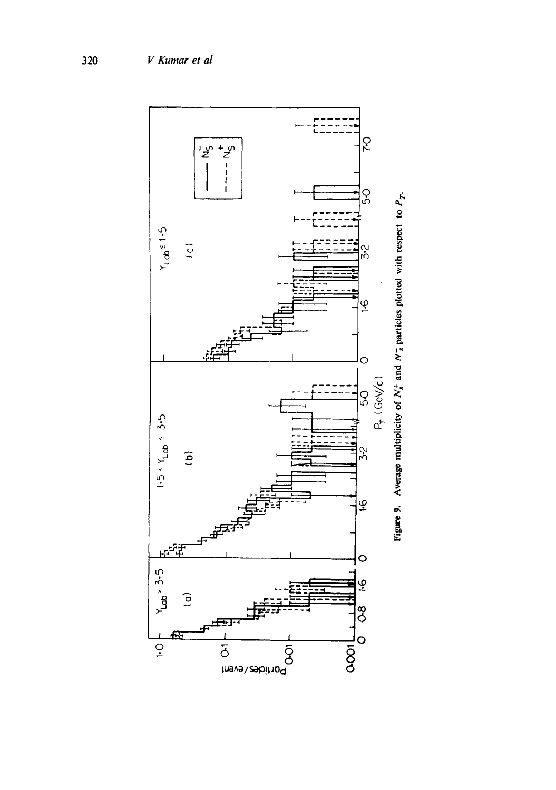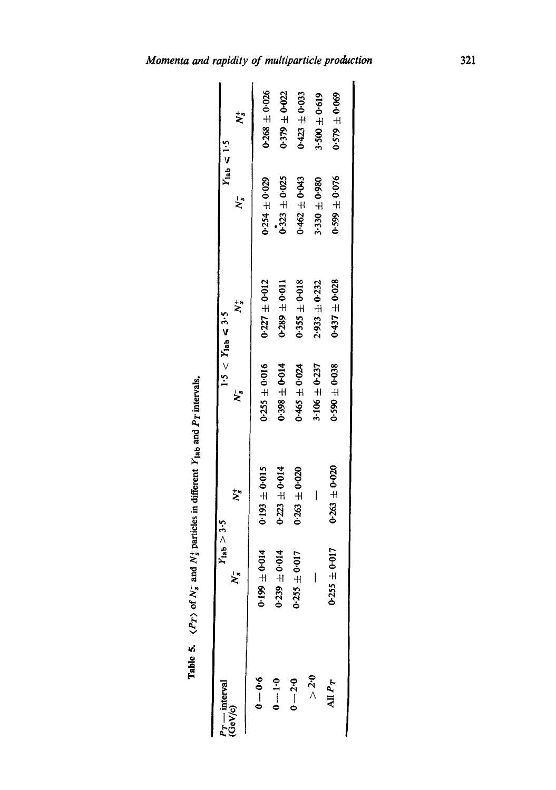| $\ddot{\cdot}$<br>$\sim$ and $N_{\rm T}^+$ pa.<br>١<br>$\frac{1}{\sigma}$ |
|---------------------------------------------------------------------------|
| ı                                                                         |
|                                                                           |

| $P_T$ — interval<br>(GeV/c) | $Y_{lab} > 3.5$        |                   |                   | $1.5 < Y_{\text{lab}} < 3.5$ |                         | $Y_{\text{lab}} < 1.5$ |
|-----------------------------|------------------------|-------------------|-------------------|------------------------------|-------------------------|------------------------|
|                             | ≿้                     | ざ                 | ≿"                | $\ddot{\bm{\varepsilon}}$    | $\overline{\mathsf{z}}$ | $\ddot{\bm{z}}$        |
| $9 - 0.6$                   | $0.199 \pm 0.014$      | $0.193 \pm 0.015$ | $0.255 \pm 0.016$ | $0.227 \pm 0.012$            | $0.254 \pm 0.029$       | $0.268 \pm 0.026$      |
| $0 - 1 - 0$                 | $0.239 \pm 0.014$      | $0.223 \pm 0.014$ | $0.398 \pm 0.014$ | $0.289 \pm 0.011$            | $0.323 \pm 0.025$       | $0.379 \pm 0.022$      |
| $0 - 2.0$                   | $0.255 \pm 0.017$      | $0.263 + 0.020$   | $0.465 \pm 0.024$ | $0.355 \pm 0.018$            | $0.462 \pm 0.043$       | $0.423 \pm 0.033$      |
| > 2.0                       |                        |                   | $3.106 \pm 0.237$ | $2.933 \pm 0.232$            | $3.330 \pm 0.980$       | $3 - 500 \pm 0.619$    |
| All $P_T$                   | r<br>$0.255 \pm 0.01'$ | $0.263 \pm 0.020$ | $0.590 \pm 0.038$ | $0.437 \pm 0.028$            | $0.599 \pm 0.076$       | $0.579 \pm 0.069$      |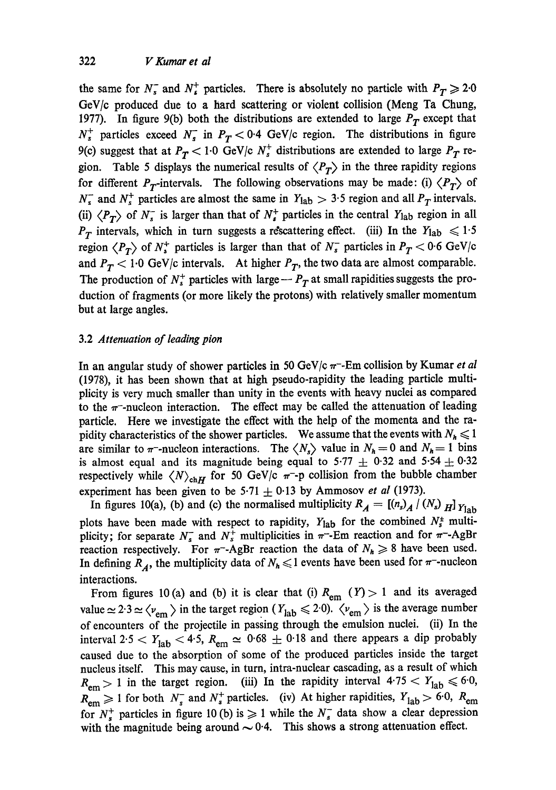the same for  $N_s^-$  and  $N_s^+$  particles. There is absolutely no particle with  $P_T \geq 2.0$ GeV/c produced due to a hard scattering or violent collision (Meng Ta Chung, 1977). In figure 9(b) both the distributions are extended to large  $P_T$  except that  $N_s^+$  particles exceed  $N_s^-$  in  $P_T < 0.4$  GeV/c region. The distributions in figure 9(c) suggest that at  $P_T < 1.0$  GeV/c  $N_s^+$  distributions are extended to large  $P_T$  region. Table 5 displays the numerical results of  $\langle P_T \rangle$  in the three rapidity regions for different  $P_T$ -intervals. The following observations may be made: (i)  $\langle P_T \rangle$  of  $N_s^-$  and  $N_s^+$  particles are almost the same in  $Y_{\text{lab}} > 3.5$  region and all  $P_T$  intervals. (ii)  $\langle P_T \rangle$  of  $N_s^-$  is larger than that of  $N_s^+$  particles in the central  $Y_{\text{lab}}$  region in all  $P_T$  intervals, which in turn suggests a rescattering effect. (iii) In the  $Y_{\text{lab}} \leq 1.5$ region  $\langle P_T \rangle$  of  $N_s^+$  particles is larger than that of  $N_s^-$  particles in  $P_T < 0.6$  GeV/c and  $P_T < 1.0$  GeV/c intervals. At higher  $P_T$ , the two data are almost comparable. The production of  $N_s^+$  particles with large --  $P_T$  at small rapidities suggests the production of fragments (or more likely the protons) with relatively smaller momentum but at large angles.

# 3.2 *Attenuation of leading pion*

In an angular study of shower particles in 50 GeV/c  $\pi$ -Em collision by Kumar *et al* (1978), it has been shown that at high pseudo-rapidity the leading particle multiplicity is very much smaller than unity in the events with heavy nuclei as compared to the  $\pi$ -nucleon interaction. The effect may be called the attenuation of leading particle. Here we investigate the effect with the help of the momenta and the rapidity characteristics of the shower particles. We assume that the events with  $N_h \leq 1$ are similar to  $\pi$ -nucleon interactions. The  $\langle N_s \rangle$  value in  $N_h = 0$  and  $N_h = 1$  bins is almost equal and its magnitude being equal to 5.77  $\pm$  0.32 and 5.54  $\pm$  0.32 respectively while  $\langle N \rangle_{\text{ch}}$  for 50 GeV/c  $\pi$ -p collision from the bubble chamber experiment has been given to be  $5.71 \pm 0.13$  by Ammosov *et al* (1973).

In figures 10(a), (b) and (c) the normalised multiplicity  $R_A = [(n_s)_A / (N_s)_H]$   $Y_{1ab}$ plots have been made with respect to rapidity,  $Y_{lab}$  for the combined  $N_s^+$  multiplicity; for separate  $N_s^-$  and  $N_s^+$  multiplicities in  $\pi^-$ -Em reaction and for  $\pi^-$ -AgBr reaction respectively. For  $\pi$ -AgBr reaction the data of  $N_h \geq 8$  have been used. In defining  $R_A$ , the multiplicity data of  $N_h \leq 1$  events have been used for  $\pi$ -nucleon interactions.

From figures 10 (a) and (b) it is clear that (i)  $R_{\text{em}}$  (Y) > 1 and its averaged value  $\simeq 2.3 \simeq \langle v_{\rm em} \rangle$  in the target region ( $Y_{\rm lab} \leq 2.0$ ).  $\langle v_{\rm em} \rangle$  is the average number of encounters of the projectile in passing through the emulsion nuclei. (ii) In the interval 2.5 <  $Y_{\text{lab}}$  < 4.5,  $R_{\text{em}} \approx 0.68 \pm 0.18$  and there appears a dip probably caused due to the absorption of some of the produced particles inside the target nucleus itself. This may cause, in turn, intra-nuclear cascading, as a result of which  $R_{\text{em}} > 1$  in the target region. (iii) In the rapidity interval  $4.75 < Y_{\text{lab}} \leq 6.0$ ,  $R_{\text{em}} \ge 1$  for both  $N_s^-$  and  $N_s^+$  particles. (iv) At higher rapidities,  $Y_{\text{lab}} > 6.0$ ,  $R_{\text{em}}$ for  $N_s^+$  particles in figure 10 (b) is  $\geq 1$  while the  $N_s^-$  data show a clear depression with the magnitude being around  $\sim 0.4$ . This shows a strong attenuation effect.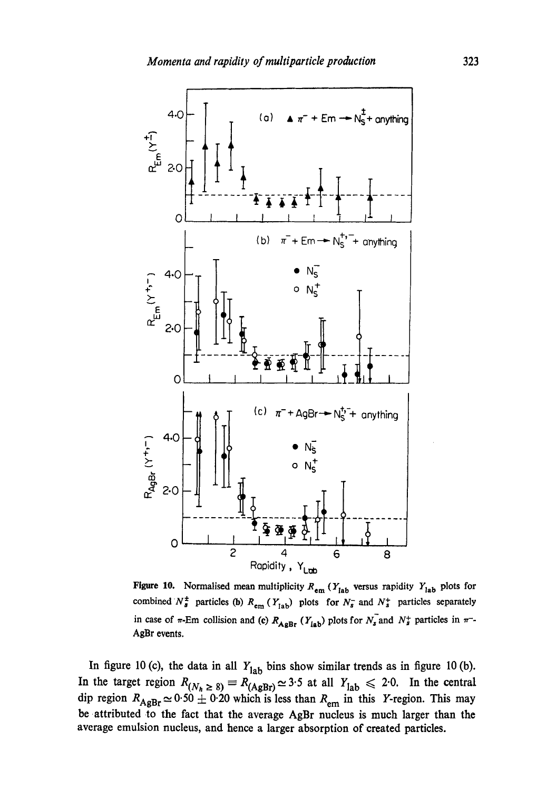

Figure 10. Normalised mean multiplicity  $R_{em}$  ( $Y_{lab}$  versus rapidity  $Y_{lab}$  plots for combined  $N^{\pm}$  particles (b)  $R_{em}$  ( $Y_{lab}$ ) plots for  $N_s^-$  and  $N_s^+$  particles separately in case of  $\pi$ -Em collision and (c)  $R_{\text{A} \text{g} \text{B} \text{r}} (Y_{\text{I} \text{a} \text{b}})$  plots for  $N_s$  and  $N_s^+$  particles in  $\pi^-$ -AgBr events.

In figure 10 (c), the data in all  $Y_{lab}$  bins show similar trends as in figure 10 (b). In the target region  $R_{(N_{\star} > 8)} \equiv R_{(A \circ R_{\star})} \simeq 3.5$  at all  $Y_{\text{lab}} \leq 2.0$ . In the central dip region  $R_{A\phi Br} \simeq 0.50 \pm 0.20$  which is less than  $R_{\phi m}$  in this Y-region. This may be attributed to the fact that the average AgBr nucleus is much larger than the average emulsion nucleus, and hence a larger absorption of created particles.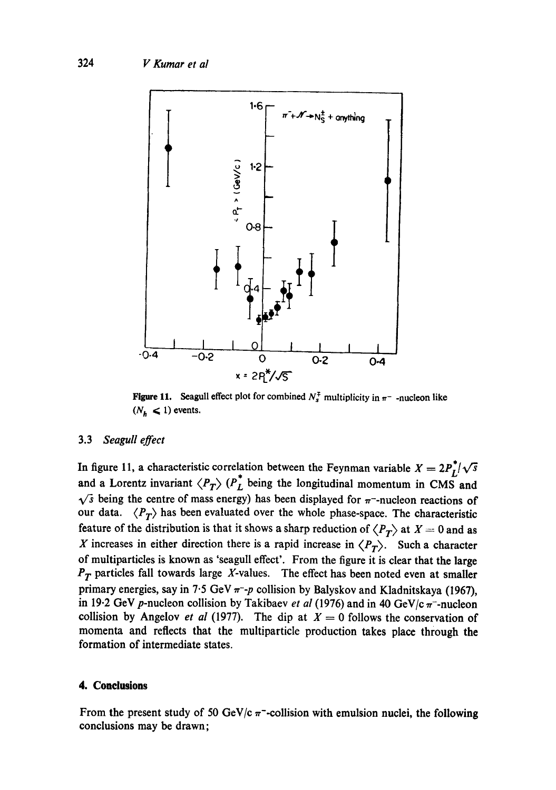

**Figure 11.** Seagull effect plot for combined  $N_s^{\dagger}$  multiplicity in  $\pi^-$  -nucleon like  $(N_h < 1)$  events.

## 3.3 *Seagull effect*

In figure 11, a characteristic correlation between the Feynman variable  $X = 2P_I/\sqrt{s}$ and a Lorentz invariant  $\langle P_T \rangle$  ( $P_L$  being the longitudinal momentum in CMS and  $\sqrt{s}$  being the centre of mass energy) has been displayed for  $\pi$ -nucleon reactions of our data.  $\langle P_T \rangle$  has been evaluated over the whole phase-space. The characteristic feature of the distribution is that it shows a sharp reduction of  $\langle P_T \rangle$  at  $X = 0$  and as X increases in either direction there is a rapid increase in  $\langle P_T \rangle$ . Such a character of multiparticles is known as 'seagull effect'. From the figure it is clear that the large  $P_T$  particles fall towards large X-values. The effect has been noted even at smaller primary energies, say in 7.5 GeV  $\pi$ -p collision by Balyskov and Kladnitskaya (1967), in 19.2 GeV p-nucleon collision by Takibaev *et al* (1976) and in 40 GeV/c $\pi$ -nucleon collision by Angelov *et al* (1977). The dip at  $X = 0$  follows the conservation of momenta and reflects that the multiparticle production takes place through the formation of intermediate states.

## **4. Conclusions**

From the present study of 50 GeV/c  $\pi$ -collision with emulsion nuclei, the following conclusions may be drawn;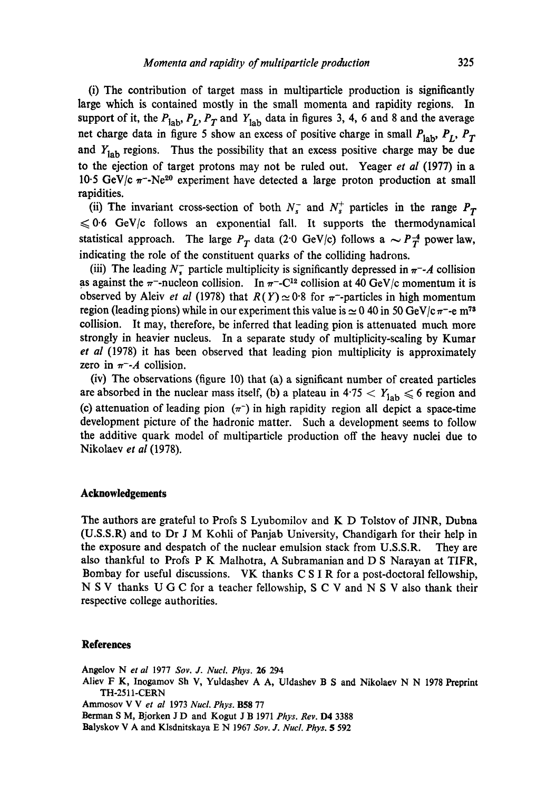(i) The contribution of target mass in multiparticle production is significantly large which is contained mostly in the small momenta and rapidity regions. In support of it, the  $P_{\text{lab}}$ ,  $P_L$ ,  $P_T$  and  $Y_{\text{lab}}$  data in figures 3, 4, 6 and 8 and the average net charge data in figure 5 show an excess of positive charge in small  $P_{\text{lab}}$ ,  $P_L$ ,  $P_T$ and  $Y_{\text{lab}}$  regions. Thus the possibility that an excess positive charge may be due to the ejection of target protons may not be ruled out. Yeager *et ai* (1977) in a 10.5 GeV/c  $\pi$ -Ne<sup>20</sup> experiment have detected a large proton production at small rapidities.

(ii) The invariant cross-section of both  $N_s^-$  and  $N_s^+$  particles in the range  $P_T$  $\leq 0.6$  GeV/c follows an exponential fall. It supports the thermodynamical statistical approach. The large  $P_T$  data (2.0 GeV/c) follows a  $\sim P_T^{-4}$  power law, indicating the role of the constituent quarks of the colliding hadrons.

(iii) The leading  $N_r^-$  particle multiplicity is significantly depressed in  $\pi^-$ -A collision as against the  $\pi$ -nucleon collision. In  $\pi$ -C<sup>12</sup> collision at 40 GeV/c momentum it is observed by Aleiv *et al* (1978) that  $R(Y) \approx 0.8$  for  $\pi$ -particles in high momentum region (leading pions) while in our experiment this value is  $\simeq 0.40$  in 50 GeV/c  $\pi$ -e m<sup>73</sup> collision. It may, therefore, be inferred that leading pion is attenuated much more strongly in heavier nucleus. In a separate study of multiplicity-scaling by Kumar *et al* (1978) it has been observed that leading pion multiplicity is approximately zero in  $\pi$ -A collision.

(iv) The observations (figure 10) that (a) a significant number of created particles are absorbed in the nuclear mass itself, (b) a plateau in  $4.75 < Y_{\text{lab}} \le 6$  region and (c) attenuation of leading pion  $(\pi^{-})$  in high rapidity region all depict a space-time development picture of the hadronic matter. Such a development seems to follow the additive quark model of multiparticle production off the heavy nuclei due to Nikolaev *et al* (1978).

## **Acknowledgements**

The authors are grateful to Profs S Lyubomilov and K D Tolstov of JINR, Dubna (U.S.S.R) and to Dr J M Kohli of Panjab University, Chandigarh for their help in the exposure and despatch of the nuclear emulsion stack from U.S.S.R. They are also thankful to Profs P K Malhotra, A Subramanian and D S Narayan at TIFR, Bombay for useful discussions. VK thanks C S I R for a post-doctoral fellowship, N S V thanks U G C for a teacher fellowship, S C V and N S V also thank their respective college authorities.

#### **References**

Angelov Net *al* 1977 *Soy. J. NucL Phys.* 26 294 Aliev F K, Inogamov Sh V, Yuldashev A A, Uldashev B S and Nikolaev N N 1978 Preprint TH-2511 -CERN Ammosov V V *et al* 1973 *Nucl. Phys.* B58 77 Berman S M, Bjorken J D and Kogut J B 1971 *Phys. Rev.* D4 3388 Balyskov V A and Klsdnitskaya E N 1967 *Soy. J. NucL Phys. 5* 592